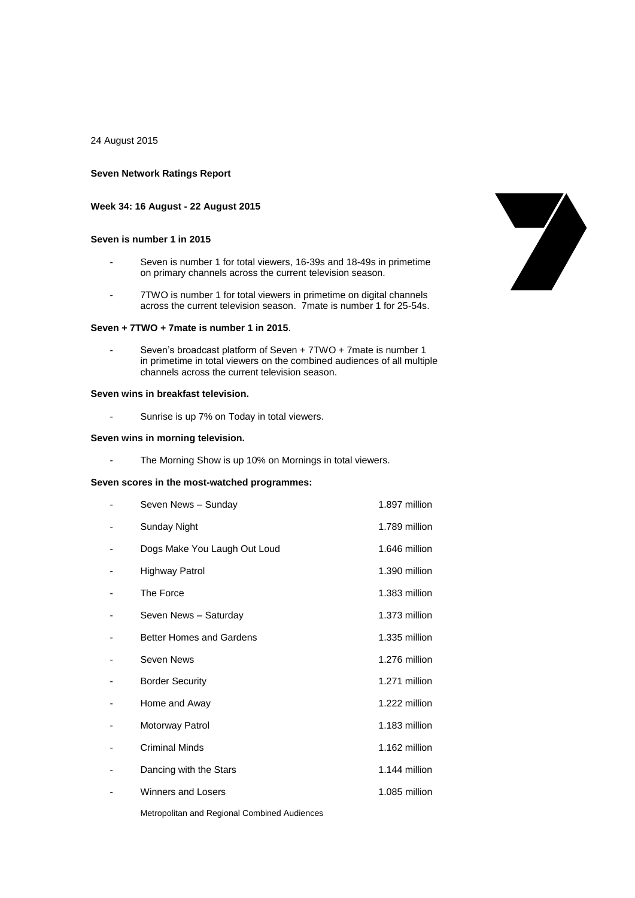24 August 2015

## **Seven Network Ratings Report**

### **Week 34: 16 August - 22 August 2015**

### **Seven is number 1 in 2015**

- Seven is number 1 for total viewers, 16-39s and 18-49s in primetime on primary channels across the current television season.
- 7TWO is number 1 for total viewers in primetime on digital channels across the current television season. 7mate is number 1 for 25-54s.

### **Seven + 7TWO + 7mate is number 1 in 2015**.

Seven's broadcast platform of Seven + 7TWO + 7mate is number 1 in primetime in total viewers on the combined audiences of all multiple channels across the current television season.

## **Seven wins in breakfast television.**

- Sunrise is up 7% on Today in total viewers.

## **Seven wins in morning television.**

- The Morning Show is up 10% on Mornings in total viewers.

## **Seven scores in the most-watched programmes:**

| Seven News - Sunday             | 1.897 million |
|---------------------------------|---------------|
| <b>Sunday Night</b>             | 1.789 million |
| Dogs Make You Laugh Out Loud    | 1.646 million |
| <b>Highway Patrol</b>           | 1.390 million |
| The Force                       | 1.383 million |
| Seven News - Saturday           | 1.373 million |
| <b>Better Homes and Gardens</b> | 1.335 million |
| Seven News                      | 1.276 million |
| <b>Border Security</b>          | 1.271 million |
| Home and Away                   | 1.222 million |
| Motorway Patrol                 | 1.183 million |
| <b>Criminal Minds</b>           | 1.162 million |
| Dancing with the Stars          | 1.144 million |
| Winners and Losers              | 1.085 million |
|                                 |               |



Metropolitan and Regional Combined Audiences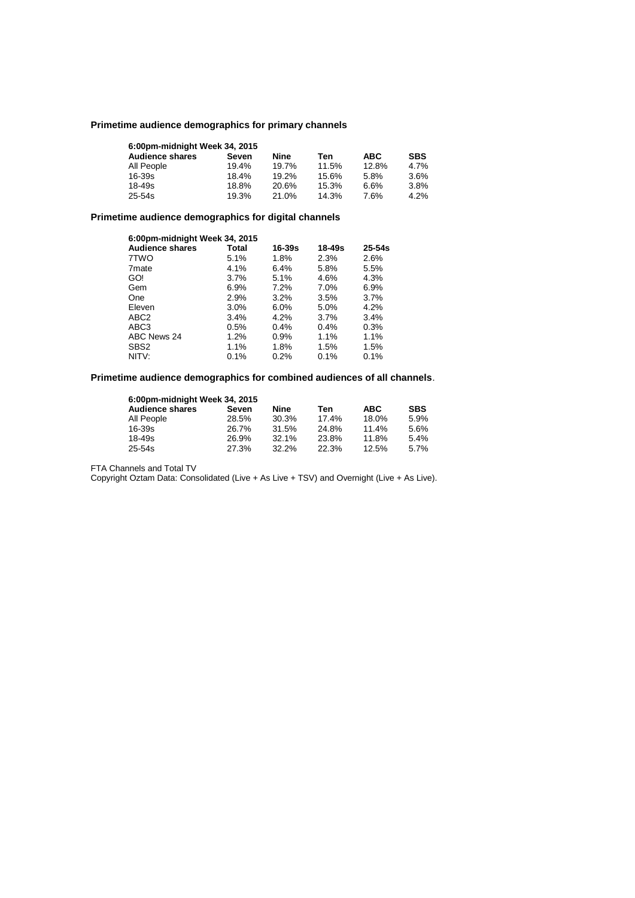# **Primetime audience demographics for primary channels**

| 6.00pm-midnight Week 34, 2015 |       |       |       |            |            |  |
|-------------------------------|-------|-------|-------|------------|------------|--|
| <b>Audience shares</b>        | Seven | Nine  | Ten   | <b>ABC</b> | <b>SBS</b> |  |
| All People                    | 19.4% | 19.7% | 11.5% | 12.8%      | 4.7%       |  |
| $16 - 39s$                    | 18.4% | 19.2% | 15.6% | 5.8%       | 3.6%       |  |
| $18 - 49s$                    | 18.8% | 20.6% | 15.3% | 6.6%       | $3.8\%$    |  |
| $25 - 54s$                    | 19.3% | 21.0% | 14.3% | 7.6%       | 4.2%       |  |

# **Primetime audience demographics for digital channels**

| 6:00pm-midnight Week 34, 2015 |         |            |            |            |  |
|-------------------------------|---------|------------|------------|------------|--|
| <b>Audience shares</b>        | Total   | $16 - 39s$ | $18 - 49s$ | $25 - 54s$ |  |
| 7TWO                          | 5.1%    | 1.8%       | 2.3%       | 2.6%       |  |
| 7 <sub>mate</sub>             | 4.1%    | 6.4%       | 5.8%       | 5.5%       |  |
| GO!                           | $3.7\%$ | 5.1%       | 4.6%       | 4.3%       |  |
| Gem                           | 6.9%    | 7.2%       | 7.0%       | 6.9%       |  |
| One                           | 2.9%    | 3.2%       | 3.5%       | 3.7%       |  |
| Eleven                        | $3.0\%$ | $6.0\%$    | 5.0%       | 4.2%       |  |
| ABC <sub>2</sub>              | 3.4%    | 4.2%       | 3.7%       | 3.4%       |  |
| ABC3                          | 0.5%    | 0.4%       | 0.4%       | 0.3%       |  |
| ABC News 24                   | 1.2%    | 0.9%       | 1.1%       | 1.1%       |  |
| SBS <sub>2</sub>              | 1.1%    | 1.8%       | 1.5%       | 1.5%       |  |
| NITV:                         | $0.1\%$ | 0.2%       | 0.1%       | 0.1%       |  |

# **Primetime audience demographics for combined audiences of all channels**.

| 6:00pm-midnight Week 34, 2015 |       |       |       |            |            |  |
|-------------------------------|-------|-------|-------|------------|------------|--|
| <b>Audience shares</b>        | Seven | Nine  | Ten   | <b>ABC</b> | <b>SBS</b> |  |
| All People                    | 28.5% | 30.3% | 17.4% | 18.0%      | 5.9%       |  |
| $16 - 39s$                    | 26.7% | 31.5% | 24.8% | 11.4%      | 5.6%       |  |
| $18 - 49s$                    | 26.9% | 32.1% | 23.8% | 11.8%      | 5.4%       |  |
| 25-54s                        | 27.3% | 32.2% | 22.3% | 12.5%      | 5.7%       |  |

FTA Channels and Total TV

Copyright Oztam Data: Consolidated (Live + As Live + TSV) and Overnight (Live + As Live).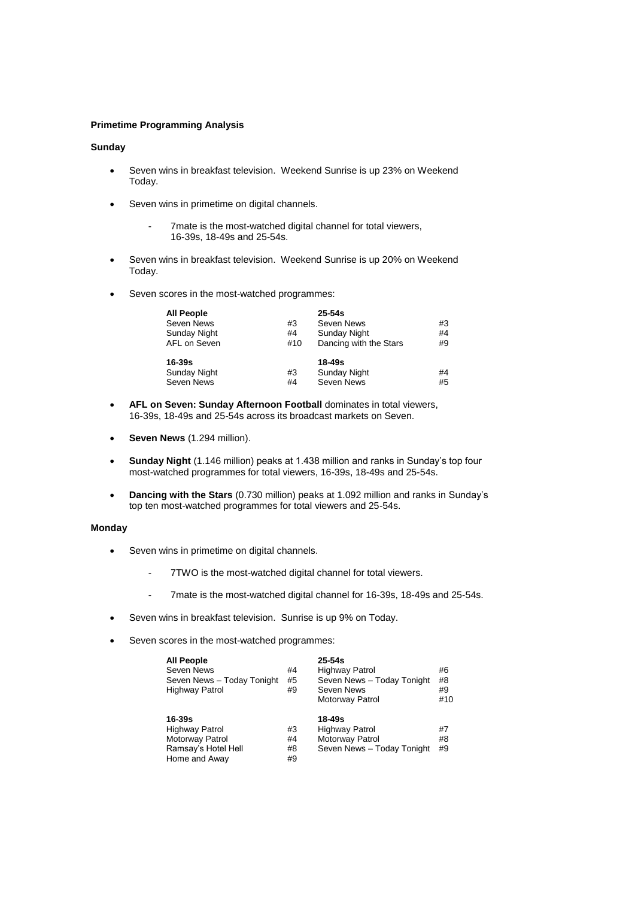## **Primetime Programming Analysis**

# **Sunday**

- Seven wins in breakfast television. Weekend Sunrise is up 23% on Weekend Today.
- Seven wins in primetime on digital channels.
	- 7mate is the most-watched digital channel for total viewers, 16-39s, 18-49s and 25-54s.
- Seven wins in breakfast television. Weekend Sunrise is up 20% on Weekend Today.
- Seven scores in the most-watched programmes:

| <b>All People</b> |     | $25-54s$               |    |
|-------------------|-----|------------------------|----|
| Seven News        | #3  | Seven News             | #3 |
| Sunday Night      | #4  | Sunday Night           | #4 |
| AFL on Seven      | #10 | Dancing with the Stars | #9 |
| $16 - 39s$        |     | $18 - 49s$             |    |
| Sunday Night      | #3  | <b>Sunday Night</b>    | #4 |
| Seven News        | #4  | Seven News             | #5 |

- **AFL on Seven: Sunday Afternoon Football** dominates in total viewers, 16-39s, 18-49s and 25-54s across its broadcast markets on Seven.
- **Seven News** (1.294 million).
- **Sunday Night** (1.146 million) peaks at 1.438 million and ranks in Sunday's top four most-watched programmes for total viewers, 16-39s, 18-49s and 25-54s.
- **Dancing with the Stars** (0.730 million) peaks at 1.092 million and ranks in Sunday's top ten most-watched programmes for total viewers and 25-54s.

### **Monday**

- Seven wins in primetime on digital channels.
	- 7TWO is the most-watched digital channel for total viewers.
	- 7mate is the most-watched digital channel for 16-39s, 18-49s and 25-54s.
- Seven wins in breakfast television. Sunrise is up 9% on Today.
- Seven scores in the most-watched programmes:

| <b>All People</b><br>Seven News<br>Seven News - Today Tonight<br><b>Highway Patrol</b> | #4<br>#5<br>#9       | $25 - 54s$<br><b>Highway Patrol</b><br>Seven News - Today Tonight<br>Seven News<br>Motorway Patrol | #6<br>#8<br>#9<br>#10 |
|----------------------------------------------------------------------------------------|----------------------|----------------------------------------------------------------------------------------------------|-----------------------|
| 16-39s<br>Highway Patrol<br>Motorway Patrol<br>Ramsay's Hotel Hell<br>Home and Away    | #3<br>#4<br>#8<br>#9 | 18-49s<br><b>Highway Patrol</b><br>Motorway Patrol<br>Seven News - Today Tonight                   | #7<br>#8<br>#9        |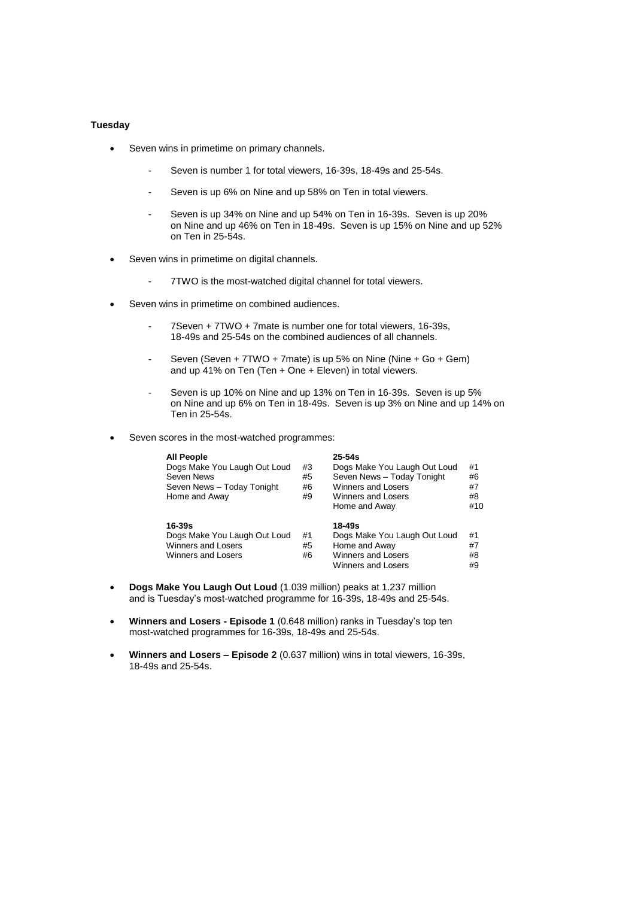## **Tuesday**

- Seven wins in primetime on primary channels.
	- Seven is number 1 for total viewers, 16-39s, 18-49s and 25-54s.
	- Seven is up 6% on Nine and up 58% on Ten in total viewers.
	- Seven is up 34% on Nine and up 54% on Ten in 16-39s. Seven is up 20% on Nine and up 46% on Ten in 18-49s. Seven is up 15% on Nine and up 52% on Ten in 25-54s.
- Seven wins in primetime on digital channels.
	- 7TWO is the most-watched digital channel for total viewers.
- Seven wins in primetime on combined audiences.
	- 7Seven + 7TWO + 7mate is number one for total viewers, 16-39s, 18-49s and 25-54s on the combined audiences of all channels.
	- Seven (Seven + 7TWO + 7mate) is up 5% on Nine (Nine + Go + Gem) and up 41% on Ten (Ten + One + Eleven) in total viewers.
	- Seven is up 10% on Nine and up 13% on Ten in 16-39s. Seven is up 5% on Nine and up 6% on Ten in 18-49s. Seven is up 3% on Nine and up 14% on Ten in 25-54s.
- Seven scores in the most-watched programmes:

| <b>All People</b><br>Dogs Make You Laugh Out Loud<br>Seven News<br>Seven News - Today Tonight<br>Home and Away | #3<br>#5<br>#6<br>#9 | $25 - 54s$<br>Dogs Make You Laugh Out Loud<br>Seven News - Today Tonight<br>Winners and Losers<br>Winners and Losers<br>Home and Away | #1<br>#6<br>#7<br>#8<br>#10 |
|----------------------------------------------------------------------------------------------------------------|----------------------|---------------------------------------------------------------------------------------------------------------------------------------|-----------------------------|
| $16 - 39s$<br>Dogs Make You Laugh Out Loud<br>Winners and Losers<br>Winners and Losers                         | #1<br>#5<br>#6       | $18 - 49s$<br>Dogs Make You Laugh Out Loud<br>Home and Away<br>Winners and Losers<br>Winners and Losers                               | #1<br>#7<br>#8<br>#9        |

- **Dogs Make You Laugh Out Loud** (1.039 million) peaks at 1.237 million and is Tuesday's most-watched programme for 16-39s, 18-49s and 25-54s.
- **Winners and Losers - Episode 1** (0.648 million) ranks in Tuesday's top ten most-watched programmes for 16-39s, 18-49s and 25-54s.
- **Winners and Losers – Episode 2** (0.637 million) wins in total viewers, 16-39s, 18-49s and 25-54s.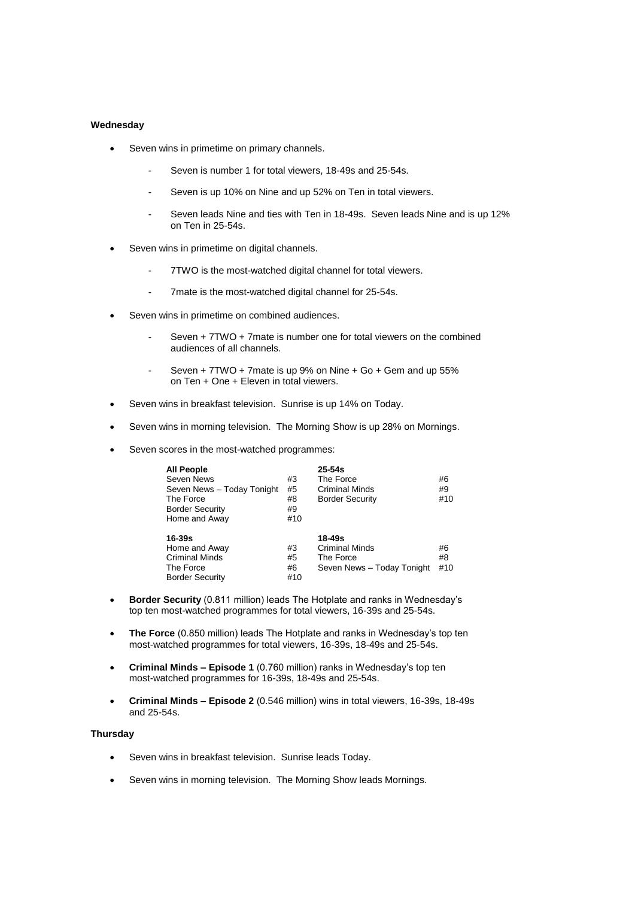## **Wednesday**

- Seven wins in primetime on primary channels.
	- Seven is number 1 for total viewers, 18-49s and 25-54s.
	- Seven is up 10% on Nine and up 52% on Ten in total viewers.
	- Seven leads Nine and ties with Ten in 18-49s. Seven leads Nine and is up 12% on Ten in 25-54s.
- Seven wins in primetime on digital channels.
	- 7TWO is the most-watched digital channel for total viewers.
	- 7mate is the most-watched digital channel for 25-54s.
- Seven wins in primetime on combined audiences.
	- Seven + 7TWO + 7mate is number one for total viewers on the combined audiences of all channels.
	- Seven + 7TWO + 7mate is up 9% on Nine + Go + Gem and up 55% on Ten + One + Eleven in total viewers.
- Seven wins in breakfast television. Sunrise is up 14% on Today.
- Seven wins in morning television. The Morning Show is up 28% on Mornings.
- Seven scores in the most-watched programmes:

| <b>All People</b><br>Seven News<br>Seven News - Today Tonight<br>The Force<br><b>Border Security</b><br>Home and Away | #3<br>#5<br>#8<br>#9<br>#10 | $25 - 54s$<br>The Force<br>Criminal Minds<br><b>Border Security</b> | #6<br>#9<br>#10 |
|-----------------------------------------------------------------------------------------------------------------------|-----------------------------|---------------------------------------------------------------------|-----------------|
| $16 - 39s$<br>Home and Away<br><b>Criminal Minds</b><br>The Force<br><b>Border Security</b>                           | #3<br>#5<br>#6<br>#10       | 18-49s<br>Criminal Minds<br>The Force<br>Seven News - Today Tonight | #6<br>#8<br>#10 |

- **Border Security** (0.811 million) leads The Hotplate and ranks in Wednesday's top ten most-watched programmes for total viewers, 16-39s and 25-54s.
- **The Force** (0.850 million) leads The Hotplate and ranks in Wednesday's top ten most-watched programmes for total viewers, 16-39s, 18-49s and 25-54s.
- **Criminal Minds – Episode 1** (0.760 million) ranks in Wednesday's top ten most-watched programmes for 16-39s, 18-49s and 25-54s.
- **Criminal Minds – Episode 2** (0.546 million) wins in total viewers, 16-39s, 18-49s and 25-54s.

#### **Thursday**

- Seven wins in breakfast television. Sunrise leads Today.
- Seven wins in morning television. The Morning Show leads Mornings.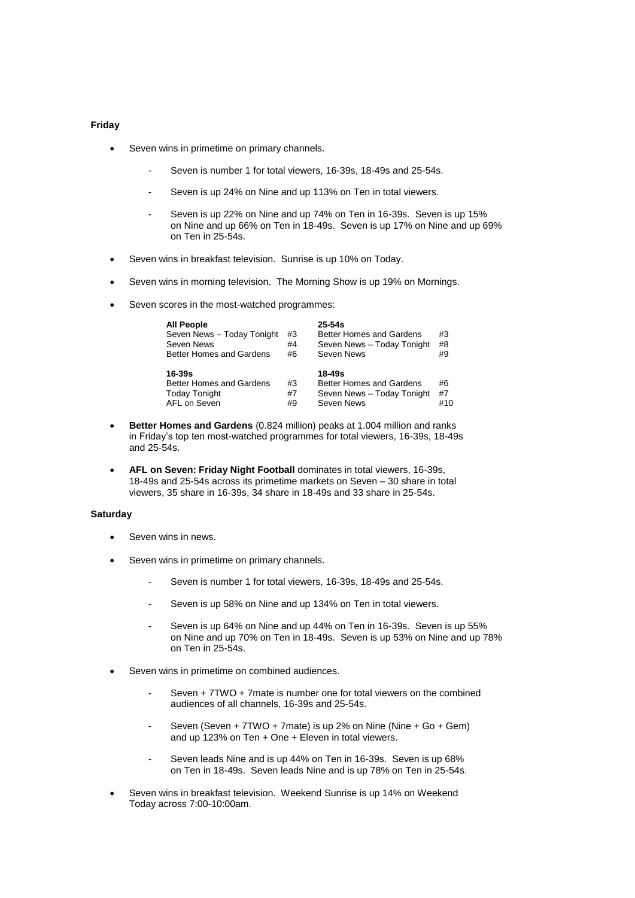### **Friday**

- Seven wins in primetime on primary channels.
	- Seven is number 1 for total viewers, 16-39s, 18-49s and 25-54s.
	- Seven is up 24% on Nine and up 113% on Ten in total viewers.
	- Seven is up 22% on Nine and up 74% on Ten in 16-39s. Seven is up 15% on Nine and up 66% on Ten in 18-49s. Seven is up 17% on Nine and up 69% on Ten in 25-54s.
- Seven wins in breakfast television. Sunrise is up 10% on Today.
- Seven wins in morning television. The Morning Show is up 19% on Mornings.
- Seven scores in the most-watched programmes:

| <b>All People</b><br>Seven News - Today Tonight<br>Seven News<br>Better Homes and Gardens | #3<br>#4<br>#6 | $25-54s$<br>Better Homes and Gardens<br>Seven News - Today Tonight<br>Seven News          | #3<br>#8<br>#9  |
|-------------------------------------------------------------------------------------------|----------------|-------------------------------------------------------------------------------------------|-----------------|
| $16 - 39s$<br>Better Homes and Gardens<br><b>Today Tonight</b><br>AFL on Seven            | #3<br>#7<br>#9 | $18 - 49s$<br><b>Better Homes and Gardens</b><br>Seven News - Today Tonight<br>Seven News | #6<br>#7<br>#10 |

- **Better Homes and Gardens** (0.824 million) peaks at 1.004 million and ranks in Friday's top ten most-watched programmes for total viewers, 16-39s, 18-49s and 25-54s.
- **AFL on Seven: Friday Night Football** dominates in total viewers, 16-39s, 18-49s and 25-54s across its primetime markets on Seven – 30 share in total viewers, 35 share in 16-39s, 34 share in 18-49s and 33 share in 25-54s.

### **Saturday**

- Seven wins in news.
- Seven wins in primetime on primary channels.
	- Seven is number 1 for total viewers, 16-39s, 18-49s and 25-54s.
	- Seven is up 58% on Nine and up 134% on Ten in total viewers.
	- Seven is up 64% on Nine and up 44% on Ten in 16-39s. Seven is up 55% on Nine and up 70% on Ten in 18-49s. Seven is up 53% on Nine and up 78% on Ten in 25-54s.
- Seven wins in primetime on combined audiences.
	- Seven + 7TWO + 7mate is number one for total viewers on the combined audiences of all channels, 16-39s and 25-54s.
	- Seven (Seven + 7TWO + 7mate) is up 2% on Nine (Nine + Go + Gem) and up 123% on Ten + One + Eleven in total viewers.
	- Seven leads Nine and is up 44% on Ten in 16-39s. Seven is up 68% on Ten in 18-49s. Seven leads Nine and is up 78% on Ten in 25-54s.
- Seven wins in breakfast television. Weekend Sunrise is up 14% on Weekend Today across 7:00-10:00am.